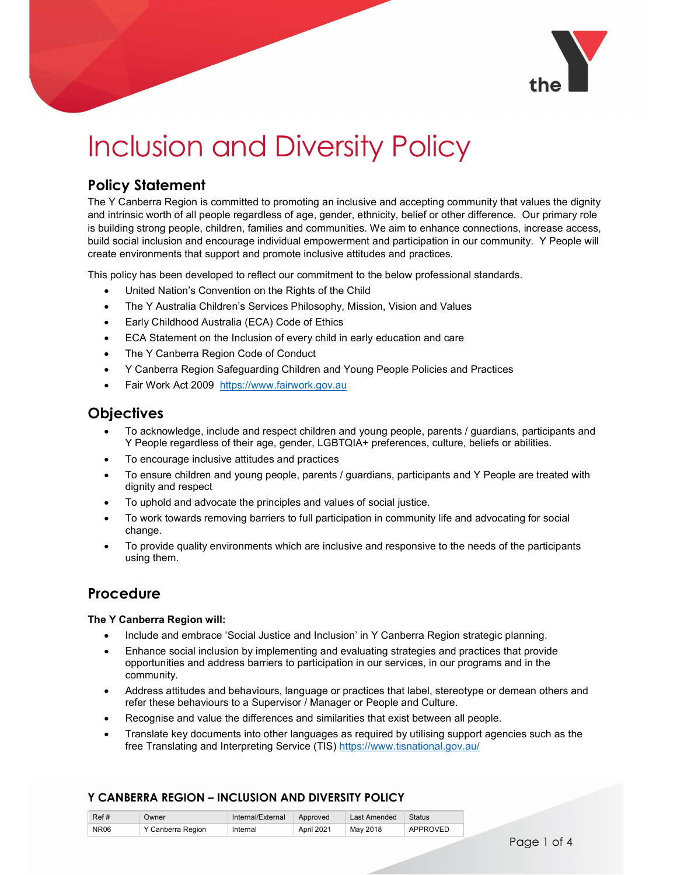

# Inclusion and Diversity Policy

## Policy Statement

The Y Canberra Region is committed to promoting an inclusive and accepting community that values the dignity and intrinsic worth of all people regardless of age, gender, ethnicity, belief or other difference. Our primary role is building strong people, children, families and communities. We aim to enhance connections, increase access, build social inclusion and encourage individual empowerment and participation in our community. Y People will create environments that support and promote inclusive attitudes and practices.

This policy has been developed to reflect our commitment to the below professional standards.

- United Nation's Convention on the Rights of the Child
- The Y Australia Children's Services Philosophy, Mission, Vision and Values
- Early Childhood Australia (ECA) Code of Ethics
- ECA Statement on the Inclusion of every child in early education and care
- The Y Canberra Region Code of Conduct
- Y Canberra Region Safeguarding Children and Young People Policies and Practices
- Fair Work Act 2009 https://www.fairwork.gov.au

## **Objectives**

- To acknowledge, include and respect children and young people, parents / guardians, participants and Y People regardless of their age, gender, LGBTQIA+ preferences, culture, beliefs or abilities.
- To encourage inclusive attitudes and practices
- To ensure children and young people, parents / guardians, participants and Y People are treated with dignity and respect
- To uphold and advocate the principles and values of social justice.
- To work towards removing barriers to full participation in community life and advocating for social change.
- To provide quality environments which are inclusive and responsive to the needs of the participants using them.

## Procedure

#### The Y Canberra Region will:

- Include and embrace 'Social Justice and Inclusion' in Y Canberra Region strategic planning.
- Enhance social inclusion by implementing and evaluating strategies and practices that provide opportunities and address barriers to participation in our services, in our programs and in the community.
- Address attitudes and behaviours, language or practices that label, stereotype or demean others and refer these behaviours to a Supervisor / Manager or People and Culture.
- Recognise and value the differences and similarities that exist between all people.
- Translate key documents into other languages as required by utilising support agencies such as the free Translating and Interpreting Service (TIS) https://www.tisnational.gov.au/

| Ref# | Dwner              | Internal/External | Approved   | Last Amended | <b>Status</b> |
|------|--------------------|-------------------|------------|--------------|---------------|
| NR06 | ′ Canberra Region_ | Internal          | April 2021 | May 2018     | APPROVED      |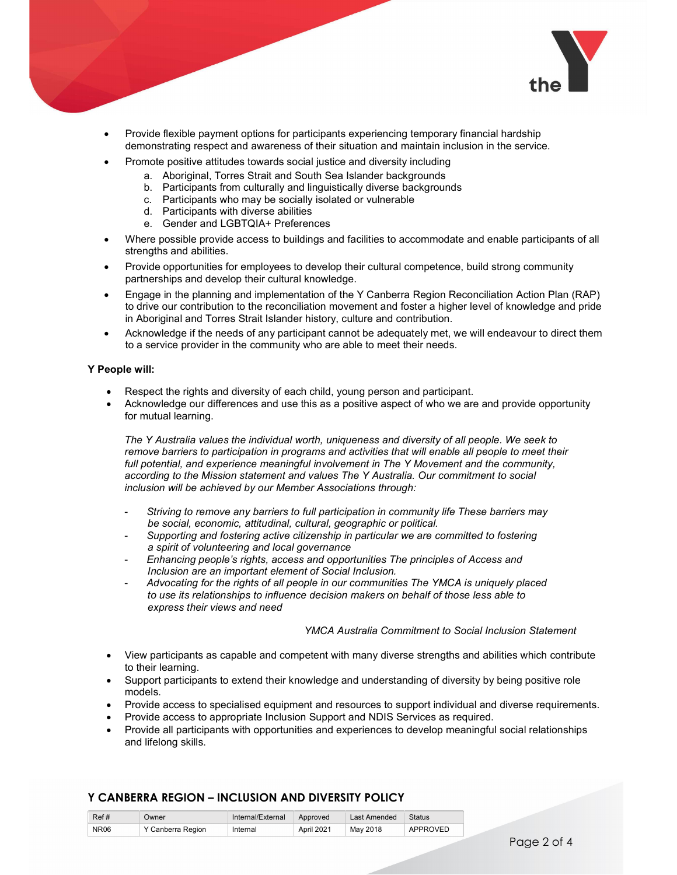

- Provide flexible payment options for participants experiencing temporary financial hardship demonstrating respect and awareness of their situation and maintain inclusion in the service.
- Promote positive attitudes towards social justice and diversity including
	- a. Aboriginal, Torres Strait and South Sea Islander backgrounds
		- b. Participants from culturally and linguistically diverse backgrounds
		- c. Participants who may be socially isolated or vulnerable
		- d. Participants with diverse abilities
		- e. Gender and LGBTQIA+ Preferences
- Where possible provide access to buildings and facilities to accommodate and enable participants of all strengths and abilities.
- Provide opportunities for employees to develop their cultural competence, build strong community partnerships and develop their cultural knowledge.
- Engage in the planning and implementation of the Y Canberra Region Reconciliation Action Plan (RAP) to drive our contribution to the reconciliation movement and foster a higher level of knowledge and pride in Aboriginal and Torres Strait Islander history, culture and contribution.
- Acknowledge if the needs of any participant cannot be adequately met, we will endeavour to direct them to a service provider in the community who are able to meet their needs.

#### Y People will:

- Respect the rights and diversity of each child, young person and participant.
- Acknowledge our differences and use this as a positive aspect of who we are and provide opportunity for mutual learning.

The Y Australia values the individual worth, uniqueness and diversity of all people. We seek to remove barriers to participation in programs and activities that will enable all people to meet their full potential, and experience meaningful involvement in The Y Movement and the community, according to the Mission statement and values The Y Australia. Our commitment to social inclusion will be achieved by our Member Associations through:

- Striving to remove any barriers to full participation in community life These barriers may be social, economic, attitudinal, cultural, geographic or political.
- Supporting and fostering active citizenship in particular we are committed to fostering a spirit of volunteering and local governance
- Enhancing people's rights, access and opportunities The principles of Access and Inclusion are an important element of Social Inclusion.
- Advocating for the rights of all people in our communities The YMCA is uniquely placed to use its relationships to influence decision makers on behalf of those less able to express their views and need

#### YMCA Australia Commitment to Social Inclusion Statement

- View participants as capable and competent with many diverse strengths and abilities which contribute to their learning.
- Support participants to extend their knowledge and understanding of diversity by being positive role models.
- Provide access to specialised equipment and resources to support individual and diverse requirements.
- Provide access to appropriate Inclusion Support and NDIS Services as required.
- Provide all participants with opportunities and experiences to develop meaningful social relationships and lifelong skills.

| Ref#        | Owner             | Internal/External | Approved   | Last Amended | Status   |
|-------------|-------------------|-------------------|------------|--------------|----------|
| <b>NR06</b> | Y Canberra Region | Internal          | April 2021 | May 2018     | APPROVED |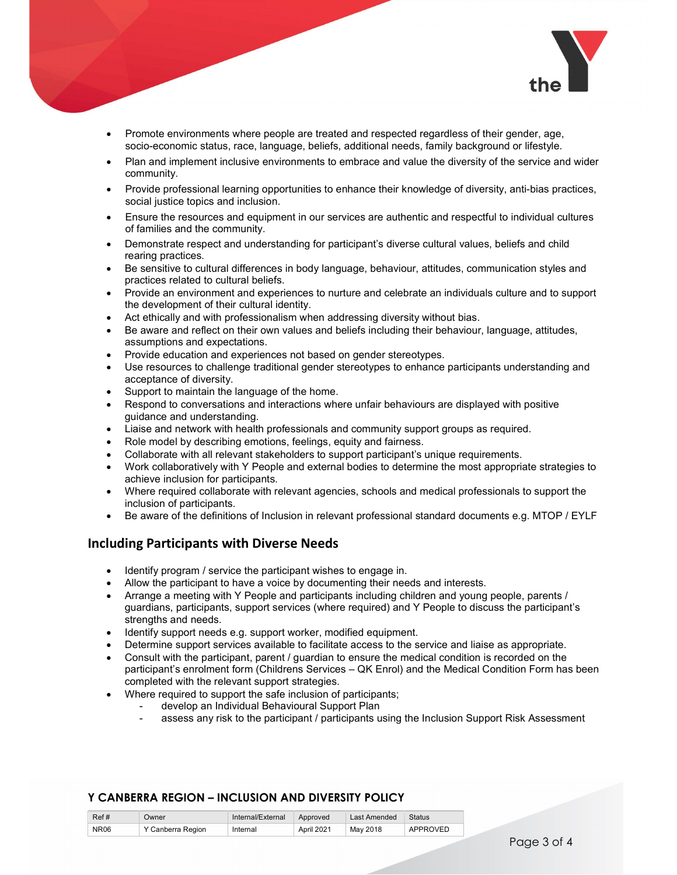

- Promote environments where people are treated and respected regardless of their gender, age, socio-economic status, race, language, beliefs, additional needs, family background or lifestyle.
- Plan and implement inclusive environments to embrace and value the diversity of the service and wider community.
- Provide professional learning opportunities to enhance their knowledge of diversity, anti-bias practices, social justice topics and inclusion.
- Ensure the resources and equipment in our services are authentic and respectful to individual cultures of families and the community.
- Demonstrate respect and understanding for participant's diverse cultural values, beliefs and child rearing practices.
- Be sensitive to cultural differences in body language, behaviour, attitudes, communication styles and practices related to cultural beliefs.
- Provide an environment and experiences to nurture and celebrate an individuals culture and to support the development of their cultural identity.
- Act ethically and with professionalism when addressing diversity without bias.
- Be aware and reflect on their own values and beliefs including their behaviour, language, attitudes, assumptions and expectations.
- Provide education and experiences not based on gender stereotypes.
- Use resources to challenge traditional gender stereotypes to enhance participants understanding and acceptance of diversity.
- Support to maintain the language of the home.
- Respond to conversations and interactions where unfair behaviours are displayed with positive guidance and understanding.
- Liaise and network with health professionals and community support groups as required.
- Role model by describing emotions, feelings, equity and fairness.
- Collaborate with all relevant stakeholders to support participant's unique requirements.
- Work collaboratively with Y People and external bodies to determine the most appropriate strategies to achieve inclusion for participants.
- Where required collaborate with relevant agencies, schools and medical professionals to support the inclusion of participants.
- Be aware of the definitions of Inclusion in relevant professional standard documents e.g. MTOP / EYLF

### Including Participants with Diverse Needs

- Identify program / service the participant wishes to engage in.
- Allow the participant to have a voice by documenting their needs and interests.
- Arrange a meeting with Y People and participants including children and young people, parents / guardians, participants, support services (where required) and Y People to discuss the participant's strengths and needs.
- Identify support needs e.g. support worker, modified equipment.
- Determine support services available to facilitate access to the service and liaise as appropriate.
- Consult with the participant, parent / guardian to ensure the medical condition is recorded on the participant's enrolment form (Childrens Services – QK Enrol) and the Medical Condition Form has been completed with the relevant support strategies.
- Where required to support the safe inclusion of participants;
	- develop an Individual Behavioural Support Plan
		- assess any risk to the participant / participants using the Inclusion Support Risk Assessment

| Ref#        | Owner             | Internal/External | Approved   | Last Amended | <b>Status</b>   |
|-------------|-------------------|-------------------|------------|--------------|-----------------|
| <b>NR06</b> | Y Canberra Region | Internal          | April 2021 | May 2018     | <b>APPROVED</b> |